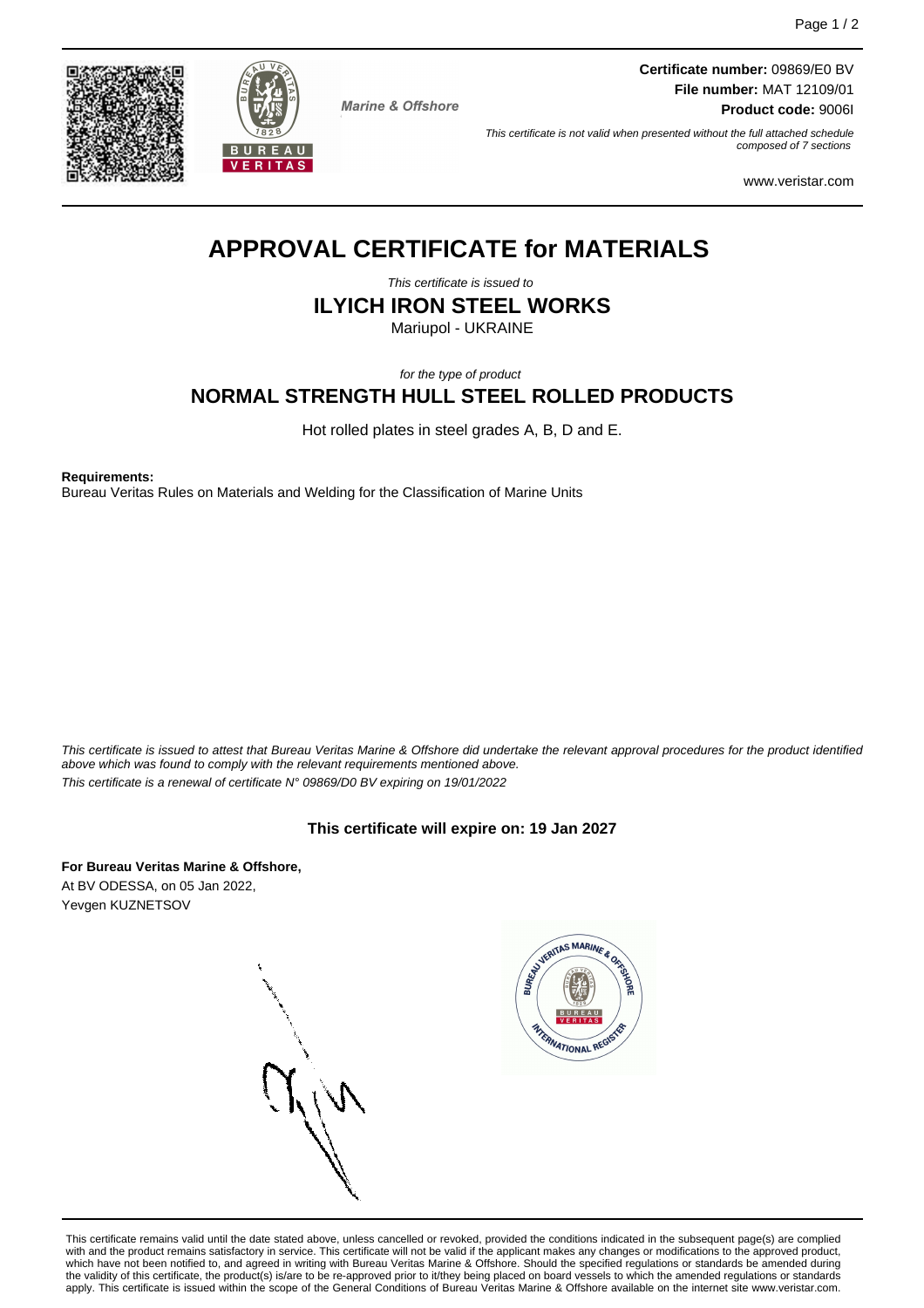



**Marine & Offshore** 

**Certificate number:** 09869/E0 BV **File number:** MAT 12109/01 **Product code:** 9006I

This certificate is not valid when presented without the full attached schedule composed of 7 sections

www.veristar.com

# **APPROVAL CERTIFICATE for MATERIALS**

This certificate is issued to

**ILYICH IRON STEEL WORKS**

Mariupol - UKRAINE

for the type of product

# **NORMAL STRENGTH HULL STEEL ROLLED PRODUCTS**

Hot rolled plates in steel grades A, B, D and E.

**Requirements:**

Bureau Veritas Rules on Materials and Welding for the Classification of Marine Units

This certificate is issued to attest that Bureau Veritas Marine & Offshore did undertake the relevant approval procedures for the product identified above which was found to comply with the relevant requirements mentioned above. This certificate is a renewal of certificate N° 09869/D0 BV expiring on 19/01/2022

## **This certificate will expire on: 19 Jan 2027**

**For Bureau Veritas Marine & Offshore,** At BV ODESSA, on 05 Jan 2022, Yevgen KUZNETSOV



This certificate remains valid until the date stated above, unless cancelled or revoked, provided the conditions indicated in the subsequent page(s) are complied with and the product remains satisfactory in service. This certificate will not be valid if the applicant makes any changes or modifications to the approved product, which have not been notified to, and agreed in writing with Bureau Veritas Marine & Offshore. Should the specified regulations or standards be amended during the validity of this certificate, the product(s) is/are to be re-approved prior to it/they being placed on board vessels to which the amended regulations or standards apply. This certificate is issued within the scope of the General Conditions of Bureau Veritas Marine & Offshore available on the internet site www.veristar.com.